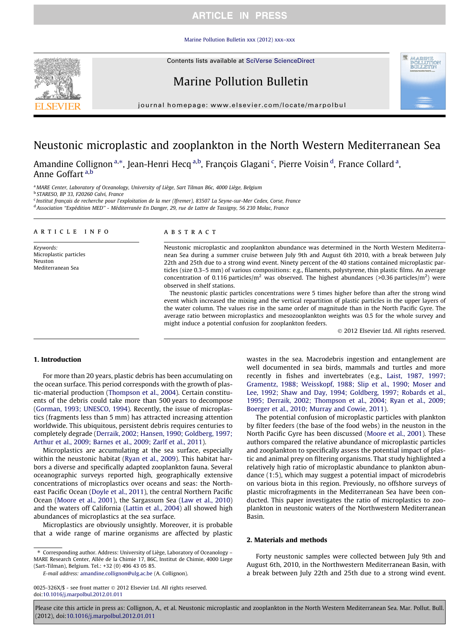## **ARTICLE IN PRESS**

#### [Marine Pollution Bulletin xxx \(2012\) xxx–xxx](http://dx.doi.org/10.1016/j.marpolbul.2012.01.011)

Contents lists available at [SciVerse ScienceDirect](http://www.sciencedirect.com/science/journal/0025326X)



# Marine Pollution Bulletin

journal homepage: [www.elsevier.com/locate/marpolbul](http://www.elsevier.com/locate/marpolbul)

# Neustonic microplastic and zooplankton in the North Western Mediterranean Sea

, Am[a](#page-0-0)ndine Collignon <sup>a,\*</sup>, Jean-Henri Hecq <sup>[a,b](#page-0-0)</sup>, François Glagani <sup>[c](#page-0-0)</sup>, Pierre Voisin <sup>[d](#page-0-0)</sup>, France Collard <sup>a</sup>, Anne Goffart [a,b](#page-0-0)

a MARE Center, Laboratory of Oceanology, University of Liège, Sart Tilman B6c, 4000 Liège, Belgium

<sup>b</sup> STARESO, BP 33, F20260 Calvi, France

<sup>c</sup> Institut français de recherche pour l'exploitation de la mer (Ifremer), 83507 La Seyne-sur-Mer Cedex, Corse, France <sup>d</sup> Association ''Expédition MED'' - Méditerranée En Danger, 29, rue de Lattre de Tassigny, 56 230 Molac, France

#### article info

Keywords: Microplastic particles Neuston Mediterranean Sea

### ABSTRACT

Neustonic microplastic and zooplankton abundance was determined in the North Western Mediterranean Sea during a summer cruise between July 9th and August 6th 2010, with a break between July 22th and 25th due to a strong wind event. Ninety percent of the 40 stations contained microplastic particles (size 0.3–5 mm) of various compositions: e.g., filaments, polystyrene, thin plastic films. An average concentration of 0.116 particles/ $m^2$  was observed. The highest abundances (>0.36 particles/ $m^2$ ) were observed in shelf stations.

The neustonic plastic particles concentrations were 5 times higher before than after the strong wind event which increased the mixing and the vertical repartition of plastic particles in the upper layers of the water column. The values rise in the same order of magnitude than in the North Pacific Gyre. The average ratio between microplastics and mesozooplankton weights was 0.5 for the whole survey and might induce a potential confusion for zooplankton feeders.

 $\odot$  2012 Elsevier Ltd. All rights reserved.

### 1. Introduction

For more than 20 years, plastic debris has been accumulating on the ocean surface. This period corresponds with the growth of plastic-material production [\(Thompson et al., 2004\)](#page-3-0). Certain constituents of the debris could take more than 500 years to decompose ([Gorman, 1993; UNESCO, 1994](#page-3-0)). Recently, the issue of microplastics (fragments less than 5 mm) has attracted increasing attention worldwide. This ubiquitous, persistent debris requires centuries to completely degrade ([Derraik, 2002; Hansen, 1990; Goldberg, 1997;](#page-3-0) [Arthur et al., 2009; Barnes et al., 2009; Zarlf et al., 2011\)](#page-3-0).

Microplastics are accumulating at the sea surface, especially within the neustonic habitat ([Ryan et al., 2009\)](#page-3-0). This habitat harbors a diverse and specifically adapted zooplankton fauna. Several oceanographic surveys reported high, geographically extensive concentrations of microplastics over oceans and seas: the Northeast Pacific Ocean ([Doyle et al., 2011\)](#page-3-0), the central Northern Pacific Ocean [\(Moore et al., 2001\)](#page-3-0), the Sargassum Sea ([Law et al., 2010\)](#page-3-0) and the waters off California ([Lattin et al., 2004](#page-3-0)) all showed high abundances of microplastics at the sea surface.

Microplastics are obviously unsightly. Moreover, it is probable that a wide range of marine organisms are affected by plastic

⇑ Corresponding author. Address: University of Liège, Laboratory of Oceanology – MARE Research Center, Allée de la Chimie 17, B6C, Institut de Chimie, 4000 Liege (Sart-Tilman), Belgium. Tel.: +32 (0) 496 43 05 85.

E-mail address: [amandine.collignon@ulg.ac.be](mailto:amandine.collignon@ulg.ac.be) (A. Collignon).

<span id="page-0-0"></span>0025-326X/\$ - see front matter @ 2012 Elsevier Ltd. All rights reserved. doi[:10.1016/j.marpolbul.2012.01.011](http://dx.doi.org/10.1016/j.marpolbul.2012.01.011)

wastes in the sea. Macrodebris ingestion and entanglement are well documented in sea birds, mammals and turtles and more recently in fishes and invertebrates (e.g., [Laist, 1987, 1997;](#page-3-0) [Gramentz, 1988; Weisskopf, 1988; Slip et al., 1990; Moser and](#page-3-0) [Lee, 1992; Shaw and Day, 1994; Goldberg, 1997; Robards et al.,](#page-3-0) [1995; Derraik, 2002; Thompson et al., 2004; Ryan et al., 2009;](#page-3-0) [Boerger et al., 2010; Murray and Cowie, 2011\)](#page-3-0).

The potential confusion of microplastic particles with plankton by filter feeders (the base of the food webs) in the neuston in the North Pacific Gyre has been discussed [\(Moore et al., 2001](#page-3-0)). These authors compared the relative abundance of microplastic particles and zooplankton to specifically assess the potential impact of plastic and animal prey on filtering organisms. That study highlighted a relatively high ratio of microplastic abundance to plankton abundance (1:5), which may suggest a potential impact of microdebris on various biota in this region. Previously, no offshore surveys of plastic microfragments in the Mediterranean Sea have been conducted. This paper investigates the ratio of microplastics to zooplankton in neustonic waters of the Northwestern Mediterranean Basin.

### 2. Materials and methods

Forty neustonic samples were collected between July 9th and August 6th, 2010, in the Northwestern Mediterranean Basin, with a break between July 22th and 25th due to a strong wind event.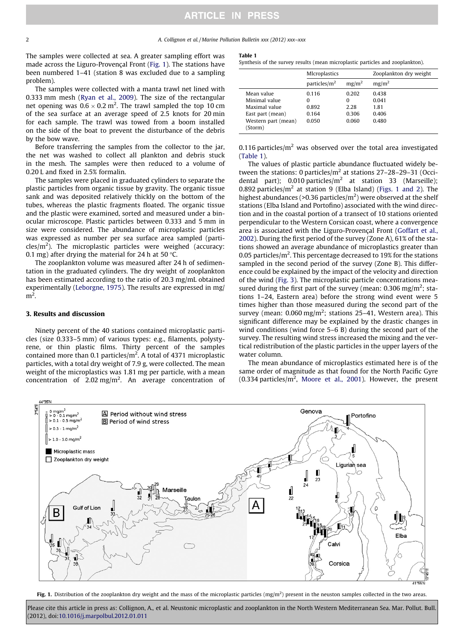The samples were collected at sea. A greater sampling effort was made across the Liguro-Provençal Front [\(Fig. 1\)](#page-1-0). The stations have been numbered 1–41 (station 8 was excluded due to a sampling problem).

The samples were collected with a manta trawl net lined with 0.333 mm mesh ([Ryan et al., 2009\)](#page-3-0). The size of the rectangular net opening was  $0.6 \times 0.2$  m<sup>2</sup>. The trawl sampled the top 10 cm of the sea surface at an average speed of 2.5 knots for 20 min for each sample. The trawl was towed from a boom installed on the side of the boat to prevent the disturbance of the debris by the bow wave.

Before transferring the samples from the collector to the jar, the net was washed to collect all plankton and debris stuck in the mesh. The samples were then reduced to a volume of 0.20 L and fixed in 2.5% formalin.

The samples were placed in graduated cylinders to separate the plastic particles from organic tissue by gravity. The organic tissue sank and was deposited relatively thickly on the bottom of the tubes, whereas the plastic fragments floated. The organic tissue and the plastic were examined, sorted and measured under a binocular microscope. Plastic particles between 0.333 and 5 mm in size were considered. The abundance of microplastic particles was expressed as number per sea surface area sampled (particles/m<sup>2</sup>). The microplastic particles were weighed (accuracy: 0.1 mg) after drying the material for 24 h at 50  $\degree$ C.

The zooplankton volume was measured after 24 h of sedimentation in the graduated cylinders. The dry weight of zooplankton has been estimated according to the ratio of 20.3 mg/mL obtained experimentally [\(Leborgne, 1975](#page-3-0)). The results are expressed in mg/  $m<sup>2</sup>$ .

#### 3. Results and discussion

Ninety percent of the 40 stations contained microplastic particles (size 0.333–5 mm) of various types: e.g., filaments, polystyrene, or thin plastic films. Thirty percent of the samples contained more than 0.1 particles/m<sup>2</sup>. A total of 4371 microplastic particles, with a total dry weight of 7.9 g, were collected. The mean weight of the microplastics was 1.81 mg per particle, with a mean concentration of 2.02 mg/m<sup>2</sup>. An average concentration of

#### Table 1

Synthesis of the survey results (mean microplastic particles and zooplankton).

|                                | <b>Microplastics</b> |                   | Zooplankton dry weight |  |
|--------------------------------|----------------------|-------------------|------------------------|--|
|                                | particles/ $m2$      | mg/m <sup>2</sup> | mg/m <sup>2</sup>      |  |
| Mean value                     | 0.116                | 0.202             | 0.438                  |  |
| Minimal value                  | 0                    | 0                 | 0.041                  |  |
| Maximal value                  | 0.892                | 2.28              | 1.81                   |  |
| East part (mean)               | 0.164                | 0.306             | 0.406                  |  |
| Western part (mean)<br>(Storm) | 0.050                | 0.060             | 0.480                  |  |

0.116 particles/ $m<sup>2</sup>$  was observed over the total area investigated ([Table 1\)](#page-1-0).

The values of plastic particle abundance fluctuated widely between the stations: 0 particles/ $m<sup>2</sup>$  at stations 27-28-29-31 (Occidental part); 0.010 particles/ $m^2$  at station 33 (Marseille); 0.892 particles/ $m^2$  at station 9 (Elba Island) [\(Figs. 1 and 2](#page-1-0)). The highest abundances (>0.36 particles/ $m<sup>2</sup>$ ) were observed at the shelf stations (Elba Island and Portofino) associated with the wind direction and in the coastal portion of a transect of 10 stations oriented perpendicular to the Western Corsican coast, where a convergence area is associated with the Liguro-Provençal Front [\(Goffart et al.,](#page-3-0) [2002\)](#page-3-0). During the first period of the survey (Zone A), 61% of the stations showed an average abundance of microplastics greater than 0.05 particles/ $m^2$ . This percentage decreased to 19% for the stations sampled in the second period of the survey (Zone B). This difference could be explained by the impact of the velocity and direction of the wind ([Fig. 3](#page-2-0)). The microplastic particle concentrations measured during the first part of the survey (mean:  $0.306$  mg/m<sup>2</sup>; stations 1–24, Eastern area) before the strong wind event were 5 times higher than those measured during the second part of the survey (mean:  $0.060$  mg/m<sup>2</sup>; stations 25-41, Western area). This significant difference may be explained by the drastic changes in wind conditions (wind force 5–6 B) during the second part of the survey. The resulting wind stress increased the mixing and the vertical redistribution of the plastic particles in the upper layers of the water column.

The mean abundance of microplastics estimated here is of the same order of magnitude as that found for the North Pacific Gyre  $(0.334 \text{ particles/m}^2, \text{ Moore et al., } 2001).$  However, the present



<span id="page-1-0"></span>Fig. 1. Distribution of the zooplankton dry weight and the mass of the microplastic particles  $(mg/m^2)$  present in the neuston samples collected in the two areas.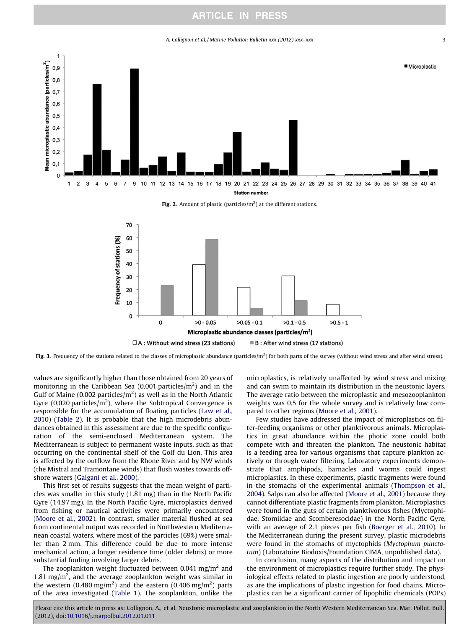## **ARTICLE IN PRESS**

#### A. Collignon et al. / Marine Pollution Bulletin xxx (2012) xxx–xxx 33



Fig. 2. Amount of plastic (particles/ $m<sup>2</sup>$ ) at the different stations.



Fig. 3. Frequency of the stations related to the classes of microplastic abundance (particles/m<sup>2</sup>) for both parts of the survey (without wind stress and after wind stress).

values are significantly higher than those obtained from 20 years of monitoring in the Caribbean Sea (0.001 particles/ $m^2$ ) and in the Gulf of Maine (0.002 particles/ $m<sup>2</sup>$ ) as well as in the North Atlantic Gyre (0.020 particles/ $m^2$ ), where the Subtropical Convergence is responsible for the accumulation of floating particles ([Law et al.,](#page-3-0) [2010](#page-3-0)) [\(Table 2](#page-3-0)). It is probable that the high microdebris abundances obtained in this assessment are due to the specific configuration of the semi-enclosed Mediterranean system. The Mediterranean is subject to permanent waste inputs, such as that occurring on the continental shelf of the Golf du Lion. This area is affected by the outflow from the Rhone River and by NW winds (the Mistral and Tramontane winds) that flush wastes towards offshore waters [\(Galgani et al., 2000](#page-3-0)).

This first set of results suggests that the mean weight of particles was smaller in this study (1.81 mg) than in the North Pacific Gyre (14.97 mg). In the North Pacific Gyre, microplastics derived from fishing or nautical activities were primarily encountered ([Moore et al., 2002](#page-3-0)). In contrast, smaller material flushed at sea from continental output was recorded in Northwestern Mediterranean coastal waters, where most of the particles (69%) were smaller than 2 mm. This difference could be due to more intense mechanical action, a longer residence time (older debris) or more substantial fouling involving larger debris.

<span id="page-2-0"></span>The zooplankton weight fluctuated between 0.041 mg/m<sup>2</sup> and 1.81 mg/m<sup>2</sup>, and the average zooplankton weight was similar in the western (0.480 mg/m<sup>2</sup>) and the eastern (0.406 mg/m<sup>2</sup>) parts of the area investigated [\(Table 1](#page-1-0)). The zooplankton, unlike the microplastics, is relatively unaffected by wind stress and mixing and can swim to maintain its distribution in the neustonic layers. The average ratio between the microplastic and mesozooplankton weights was 0.5 for the whole survey and is relatively low compared to other regions [\(Moore et al., 2001](#page-3-0)).

Few studies have addressed the impact of microplastics on filter-feeding organisms or other planktivorous animals. Microplastics in great abundance within the photic zone could both compete with and threaten the plankton. The neustonic habitat is a feeding area for various organisms that capture plankton actively or through water filtering. Laboratory experiments demonstrate that amphipods, barnacles and worms could ingest microplastics. In these experiments, plastic fragments were found in the stomachs of the experimental animals [\(Thompson et al.,](#page-3-0) [2004](#page-3-0)). Salps can also be affected ([Moore et al., 2001\)](#page-3-0) because they cannot differentiate plastic fragments from plankton. Microplastics were found in the guts of certain planktivorous fishes (Myctophidae, Stomiidae and Scomberesocidae) in the North Pacific Gyre, with an average of 2.1 pieces per fish [\(Boerger et al., 2010](#page-3-0)). In the Mediterranean during the present survey, plastic microdebris were found in the stomachs of myctophids (Myctophum punctatum) (Laboratoire Biodoxis/Foundation CIMA, unpublished data).

In conclusion, many aspects of the distribution and impact on the environment of microplastics require further study. The physiological effects related to plastic ingestion are poorly understood, as are the implications of plastic ingestion for food chains. Microplastics can be a significant carrier of lipophilic chemicals (POPs)